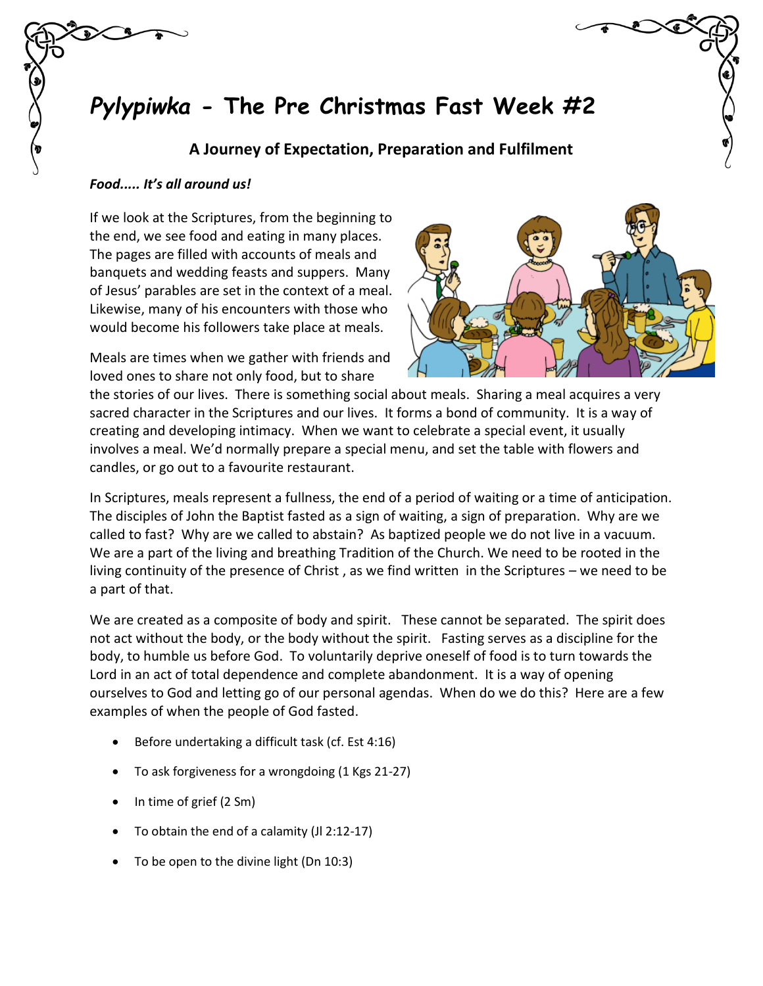## *Pylypiwka* **- The Pre Christmas Fast Week #2**

## **A Journey of Expectation, Preparation and Fulfilment**

## *Food..... It's all around us!*

If we look at the Scriptures, from the beginning to the end, we see food and eating in many places. The pages are filled with accounts of meals and banquets and wedding feasts and suppers. Many of Jesus' parables are set in the context of a meal. Likewise, many of his encounters with those who would become his followers take place at meals.

Meals are times when we gather with friends and loved ones to share not only food, but to share



the stories of our lives. There is something social about meals. Sharing a meal acquires a very sacred character in the Scriptures and our lives. It forms a bond of community. It is a way of creating and developing intimacy. When we want to celebrate a special event, it usually involves a meal. We'd normally prepare a special menu, and set the table with flowers and candles, or go out to a favourite restaurant.

In Scriptures, meals represent a fullness, the end of a period of waiting or a time of anticipation. The disciples of John the Baptist fasted as a sign of waiting, a sign of preparation. Why are we called to fast? Why are we called to abstain? As baptized people we do not live in a vacuum. We are a part of the living and breathing Tradition of the Church. We need to be rooted in the living continuity of the presence of Christ , as we find written in the Scriptures – we need to be a part of that.

We are created as a composite of body and spirit. These cannot be separated. The spirit does not act without the body, or the body without the spirit. Fasting serves as a discipline for the body, to humble us before God. To voluntarily deprive oneself of food is to turn towards the Lord in an act of total dependence and complete abandonment. It is a way of opening ourselves to God and letting go of our personal agendas. When do we do this? Here are a few examples of when the people of God fasted.

- Before undertaking a difficult task (cf. Est 4:16)
- To ask forgiveness for a wrongdoing (1 Kgs 21-27)
- In time of grief (2 Sm)
- To obtain the end of a calamity (Jl 2:12-17)
- To be open to the divine light (Dn 10:3)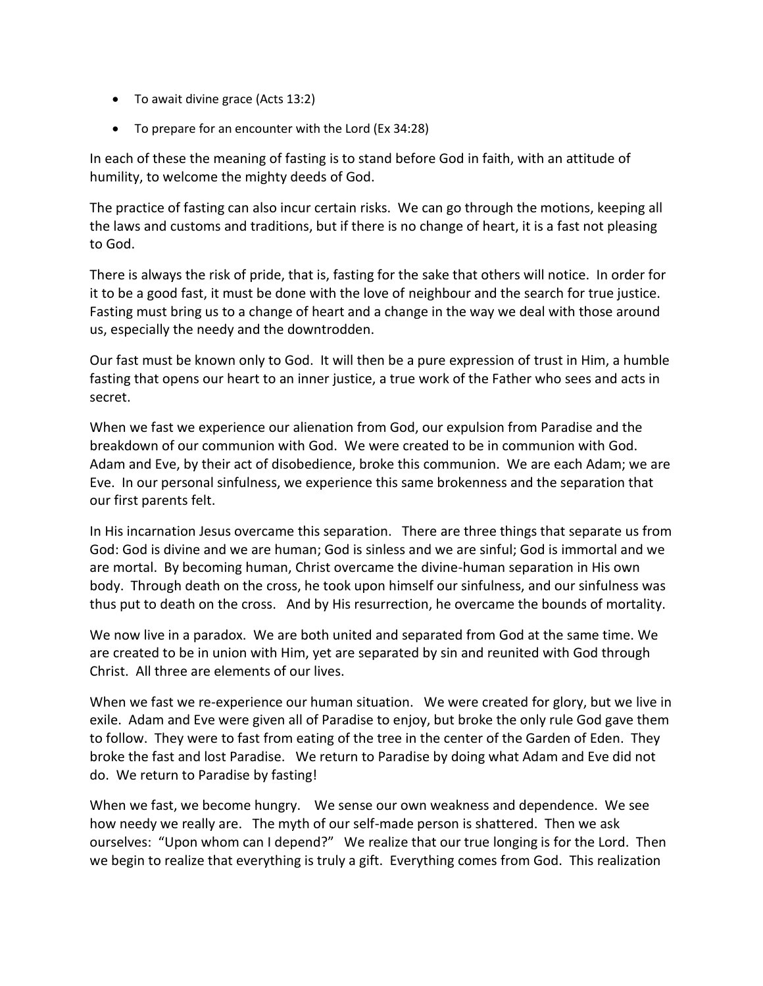- To await divine grace (Acts 13:2)
- To prepare for an encounter with the Lord (Ex 34:28)

In each of these the meaning of fasting is to stand before God in faith, with an attitude of humility, to welcome the mighty deeds of God.

The practice of fasting can also incur certain risks. We can go through the motions, keeping all the laws and customs and traditions, but if there is no change of heart, it is a fast not pleasing to God.

There is always the risk of pride, that is, fasting for the sake that others will notice. In order for it to be a good fast, it must be done with the love of neighbour and the search for true justice. Fasting must bring us to a change of heart and a change in the way we deal with those around us, especially the needy and the downtrodden.

Our fast must be known only to God. It will then be a pure expression of trust in Him, a humble fasting that opens our heart to an inner justice, a true work of the Father who sees and acts in secret.

When we fast we experience our alienation from God, our expulsion from Paradise and the breakdown of our communion with God. We were created to be in communion with God. Adam and Eve, by their act of disobedience, broke this communion. We are each Adam; we are Eve. In our personal sinfulness, we experience this same brokenness and the separation that our first parents felt.

In His incarnation Jesus overcame this separation. There are three things that separate us from God: God is divine and we are human; God is sinless and we are sinful; God is immortal and we are mortal. By becoming human, Christ overcame the divine-human separation in His own body. Through death on the cross, he took upon himself our sinfulness, and our sinfulness was thus put to death on the cross. And by His resurrection, he overcame the bounds of mortality.

We now live in a paradox. We are both united and separated from God at the same time. We are created to be in union with Him, yet are separated by sin and reunited with God through Christ. All three are elements of our lives.

When we fast we re-experience our human situation. We were created for glory, but we live in exile. Adam and Eve were given all of Paradise to enjoy, but broke the only rule God gave them to follow. They were to fast from eating of the tree in the center of the Garden of Eden. They broke the fast and lost Paradise. We return to Paradise by doing what Adam and Eve did not do. We return to Paradise by fasting!

When we fast, we become hungry. We sense our own weakness and dependence. We see how needy we really are. The myth of our self-made person is shattered. Then we ask ourselves: "Upon whom can I depend?" We realize that our true longing is for the Lord. Then we begin to realize that everything is truly a gift. Everything comes from God. This realization